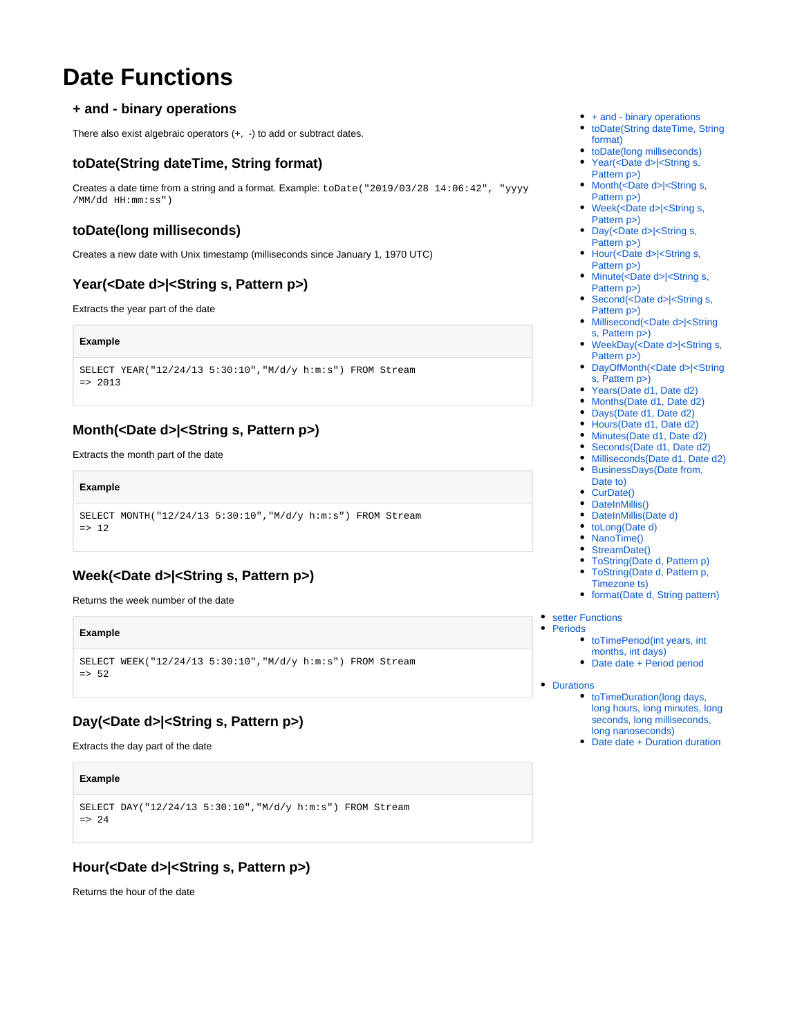# **Date Functions**

## <span id="page-0-0"></span>**+ and - binary operations**

There also exist algebraic operators (+, -) to add or subtract dates.

## <span id="page-0-1"></span>**toDate(String dateTime, String format)**

Creates a date time from a string and a format. Example: toDate("2019/03/28 14:06:42", "yyyy /MM/dd HH:mm:ss")

## <span id="page-0-2"></span>**toDate(long milliseconds)**

Creates a new date with Unix timestamp (milliseconds since January 1, 1970 UTC)

# <span id="page-0-3"></span>**Year(<Date d>|<String s, Pattern p>)**

Extracts the year part of the date

#### **Example**

```
SELECT YEAR("12/24/13 5:30:10","M/d/y h:m:s") FROM Stream
= 2013
```
# <span id="page-0-4"></span>**Month(<Date d>|<String s, Pattern p>)**

Extracts the month part of the date

#### **Example**

```
SELECT MONTH("12/24/13 5:30:10","M/d/y h:m:s") FROM Stream
\Rightarrow 12
```
# <span id="page-0-5"></span>**Week(<Date d>|<String s, Pattern p>)**

Returns the week number of the date

#### **Example**

```
SELECT WEEK("12/24/13 5:30:10","M/d/y h:m:s") FROM Stream
= 52
```
# <span id="page-0-6"></span>**Day(<Date d>|<String s, Pattern p>)**

Extracts the day part of the date

#### **Example**

```
SELECT DAY("12/24/13 5:30:10","M/d/y h:m:s") FROM Stream
= > 24
```
# <span id="page-0-7"></span>**Hour(<Date d>|<String s, Pattern p>)**

Returns the hour of the date

- $\bullet$  [+ and binary operations](#page-0-0)
- [toDate\(String dateTime, String](#page-0-1)  [format\)](#page-0-1)
- [toDate\(long milliseconds\)](#page-0-2) • Year(<Date d>|<String s,
- [Pattern p>\)](#page-0-3)
- Month(<Date d>|<String s, [Pattern p>\)](#page-0-4)
- Week(<Date d>|<String s, [Pattern p>\)](#page-0-5)
- Day(<Date d>|<String s, [Pattern p>\)](#page-0-6)
- Hour(<Date d>|<String s, [Pattern p>\)](#page-0-7)
- Minute(<Date d>|<String s, [Pattern p>\)](#page-1-0)
- Second(<Date d>|<String s, [Pattern p>\)](#page-1-1)
- [Millisecond\(<Date d>|<String](#page-1-2)  [s, Pattern p>\)](#page-1-2)
- WeekDay(<Date d>|<String s, [Pattern p>\)](#page-1-3)
- [DayOfMonth\(<Date d>|<String](#page-1-4)  [s, Pattern p>\)](#page-1-4)
- [Years\(Date d1, Date d2\)](#page-1-5)
- [Months\(Date d1, Date d2\)](#page-1-6)
- [Days\(Date d1, Date d2\)](#page-2-0)
- [Hours\(Date d1, Date d2\)](#page-2-1) • [Minutes\(Date d1, Date d2\)](#page-2-2)
- [Seconds\(Date d1, Date d2\)](#page-2-3)
- [Milliseconds\(Date d1, Date d2\)](#page-2-4)
- [BusinessDays\(Date from,](#page-2-5)
- [Date to\)](#page-2-5)
- [CurDate\(\)](#page-2-6)
- [DateInMillis\(\)](#page-2-7) • [DateInMillis\(Date d\)](#page-2-8)
- 
- [toLong\(Date d\)](#page-2-9) • [NanoTime\(\)](#page-2-10)
- [StreamDate\(\)](#page-2-11)
- [ToString\(Date d, Pattern p\)](#page-2-12)
- [ToString\(Date d, Pattern p,](#page-2-13)
- [Timezone ts\)](#page-2-13)
- [format\(Date d, String pattern\)](#page-2-14)
- **•** [setter Functions](#page-2-15)
- [Periods](#page-3-0)
	- [toTimePeriod\(int years, int](#page-3-1)
	- [months, int days\)](#page-3-1)
	- [Date date + Period period](#page-3-2)
- [Durations](#page-3-3)
	- [toTimeDuration\(long days,](#page-3-4)  [long hours, long minutes, long](#page-3-4)  [seconds, long milliseconds,](#page-3-4)  [long nanoseconds\)](#page-3-4)
	- [Date date + Duration duration](#page-4-0)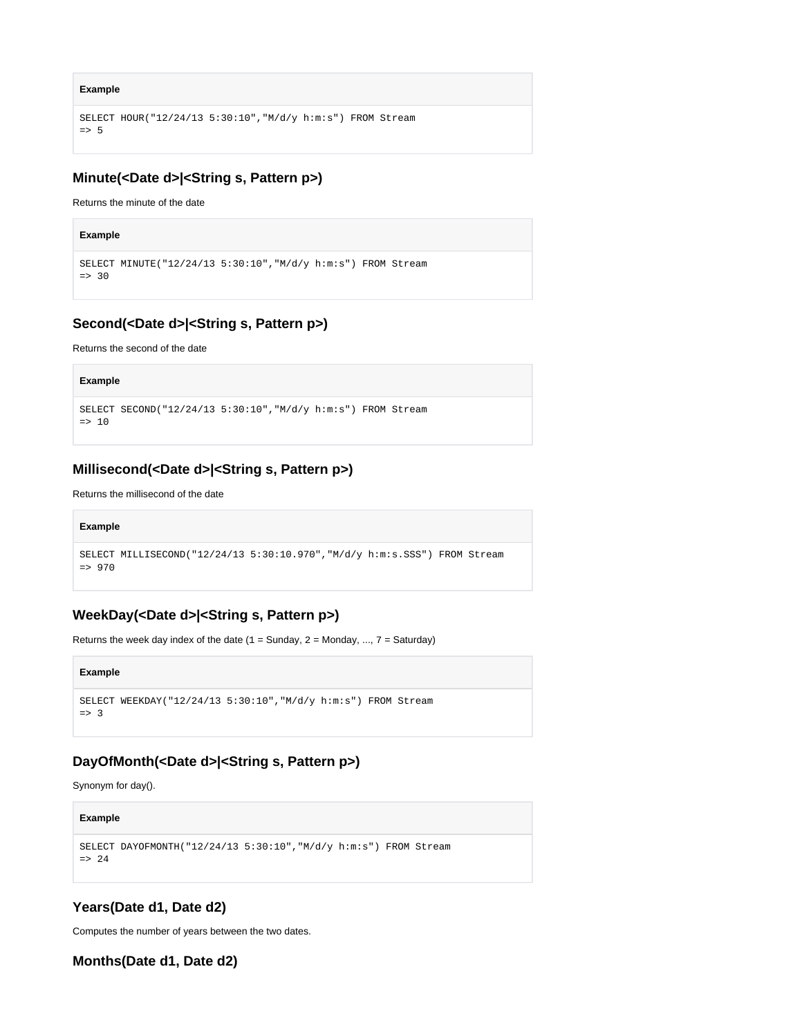```
Example
```

```
SELECT HOUR("12/24/13 5:30:10","M/d/y h:m:s") FROM Stream
\Rightarrow 5
```
# <span id="page-1-0"></span>**Minute(<Date d>|<String s, Pattern p>)**

Returns the minute of the date

```
Example
SELECT MINUTE("12/24/13 5:30:10","M/d/y h:m:s") FROM Stream
\Rightarrow 30
```
# <span id="page-1-1"></span>**Second(<Date d>|<String s, Pattern p>)**

Returns the second of the date

```
Example
SELECT SECOND("12/24/13 5:30:10","M/d/y h:m:s") FROM Stream
\Rightarrow 10
```
# <span id="page-1-2"></span>**Millisecond(<Date d>|<String s, Pattern p>)**

Returns the millisecond of the date

#### **Example**

```
SELECT MILLISECOND("12/24/13 5:30:10.970","M/d/y h:m:s.SSS") FROM Stream
= > 970
```
# <span id="page-1-3"></span>**WeekDay(<Date d>|<String s, Pattern p>)**

Returns the week day index of the date  $(1 =$  Sunday,  $2 =$  Monday, ...,  $7 =$  Saturday)

#### **Example**

```
SELECT WEEKDAY("12/24/13 5:30:10","M/d/y h:m:s") FROM Stream
=> 3
```
## <span id="page-1-4"></span>**DayOfMonth(<Date d>|<String s, Pattern p>)**

Synonym for day().

```
Example
SELECT DAYOFMONTH("12/24/13 5:30:10","M/d/y h:m:s") FROM Stream
\Rightarrow 24
```
## <span id="page-1-5"></span>**Years(Date d1, Date d2)**

Computes the number of years between the two dates.

<span id="page-1-6"></span>**Months(Date d1, Date d2)**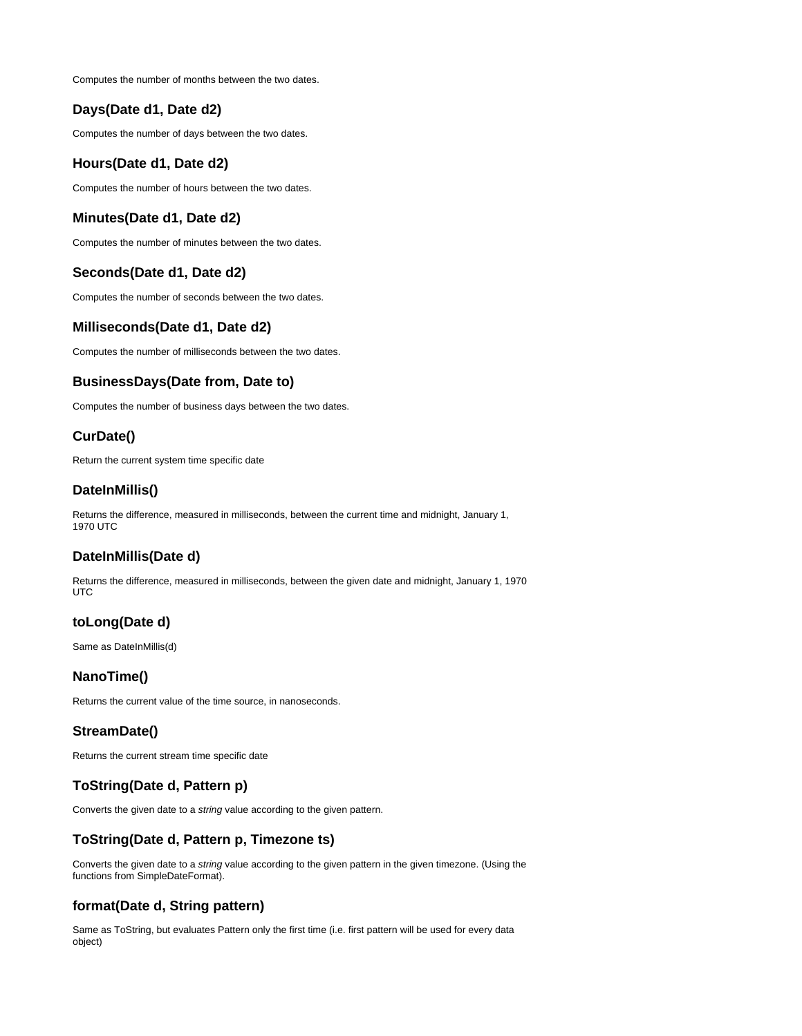Computes the number of months between the two dates.

## <span id="page-2-0"></span>**Days(Date d1, Date d2)**

Computes the number of days between the two dates.

#### <span id="page-2-1"></span>**Hours(Date d1, Date d2)**

Computes the number of hours between the two dates.

#### <span id="page-2-2"></span>**Minutes(Date d1, Date d2)**

Computes the number of minutes between the two dates.

## <span id="page-2-3"></span>**Seconds(Date d1, Date d2)**

Computes the number of seconds between the two dates.

#### <span id="page-2-4"></span>**Milliseconds(Date d1, Date d2)**

Computes the number of milliseconds between the two dates.

## <span id="page-2-5"></span>**BusinessDays(Date from, Date to)**

Computes the number of business days between the two dates.

## <span id="page-2-6"></span>**CurDate()**

Return the current system time specific date

## <span id="page-2-7"></span>**DateInMillis()**

Returns the difference, measured in milliseconds, between the current time and midnight, January 1, 1970 UTC

#### <span id="page-2-8"></span>**DateInMillis(Date d)**

Returns the difference, measured in milliseconds, between the given date and midnight, January 1, 1970 UTC

## <span id="page-2-9"></span>**toLong(Date d)**

Same as DateInMillis(d)

#### <span id="page-2-10"></span>**NanoTime()**

Returns the current value of the time source, in nanoseconds.

## <span id="page-2-11"></span>**StreamDate()**

Returns the current stream time specific date

## <span id="page-2-12"></span>**ToString(Date d, Pattern p)**

Converts the given date to a string value according to the given pattern.

#### <span id="page-2-13"></span>**ToString(Date d, Pattern p, Timezone ts)**

Converts the given date to a string value according to the given pattern in the given timezone. (Using the functions from SimpleDateFormat).

## <span id="page-2-14"></span>**format(Date d, String pattern)**

<span id="page-2-15"></span>Same as ToString, but evaluates Pattern only the first time (i.e. first pattern will be used for every data object)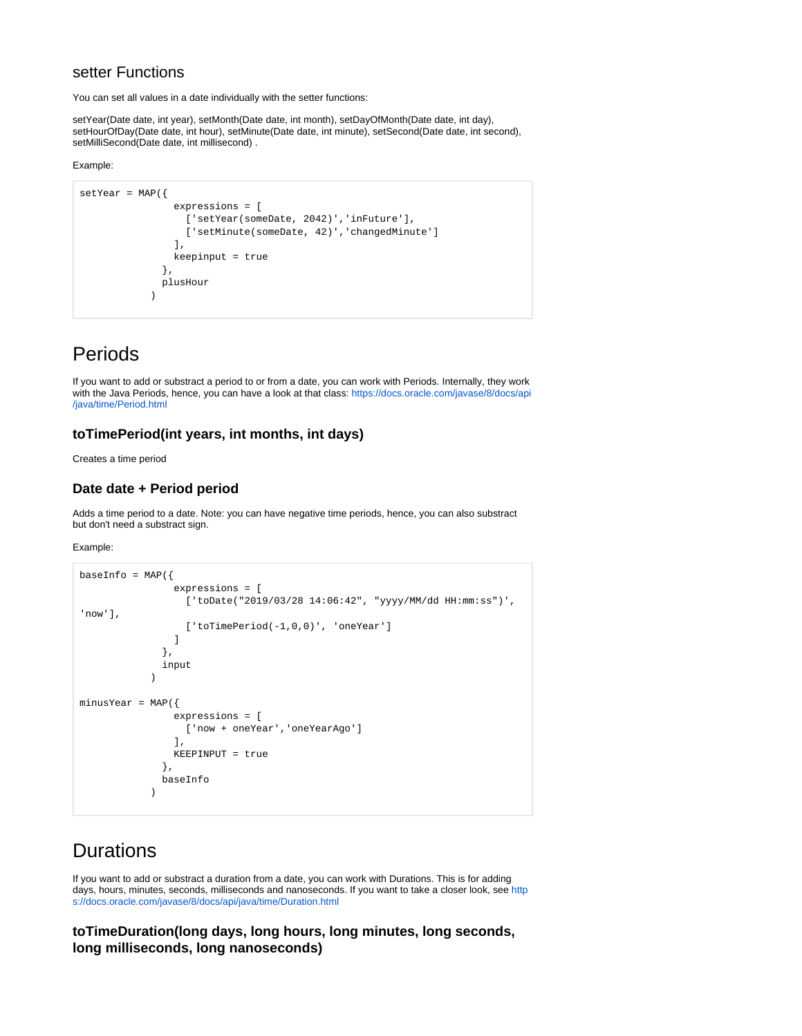## setter Functions

You can set all values in a date individually with the setter functions:

setYear(Date date, int year), setMonth(Date date, int month), setDayOfMonth(Date date, int day), setHourOfDay(Date date, int hour), setMinute(Date date, int minute), setSecond(Date date, int second), setMilliSecond(Date date, int millisecond) .

Example:

```
setYear = MAP({} expressions = [
                   ['setYear(someDate, 2042)','inFuture'],
                  ['setMinute(someDate, 42)', 'changedMinute']
                 ],
                 keepinput = true 
 },
               plusHour
\overline{\phantom{a}}
```
# <span id="page-3-0"></span>Periods

If you want to add or substract a period to or from a date, you can work with Periods. Internally, they work with the Java Periods, hence, you can have a look at that class: [https://docs.oracle.com/javase/8/docs/api](https://docs.oracle.com/javase/8/docs/api/java/time/Period.html) [/java/time/Period.html](https://docs.oracle.com/javase/8/docs/api/java/time/Period.html)

## <span id="page-3-1"></span>**toTimePeriod(int years, int months, int days)**

Creates a time period

## <span id="page-3-2"></span>**Date date + Period period**

Adds a time period to a date. Note: you can have negative time periods, hence, you can also substract but don't need a substract sign.

Example:

```
baseInfo = MAP({} expressions = [
                    ['toDate("2019/03/28 14:06:42", "yyyy/MM/dd HH:mm:ss")', 
'now'],
                    ['toTimePeriod(-1,0,0)', 'oneYear']
 ]
                },
                input
\overline{\phantom{a}}minusYear = MAP({
                  expressions = [
                    ['now + oneYear','oneYearAgo']
                  ],
                  KEEPINPUT = true
                },
                baseInfo
\overline{\phantom{a}}
```
# <span id="page-3-3"></span>**Durations**

If you want to add or substract a duration from a date, you can work with Durations. This is for adding days, hours, minutes, seconds, milliseconds and nanoseconds. If you want to take a closer look, see [http](https://docs.oracle.com/javase/8/docs/api/java/time/Duration.html) [s://docs.oracle.com/javase/8/docs/api/java/time/Duration.html](https://docs.oracle.com/javase/8/docs/api/java/time/Duration.html)

<span id="page-3-4"></span>**toTimeDuration(long days, long hours, long minutes, long seconds, long milliseconds, long nanoseconds)**